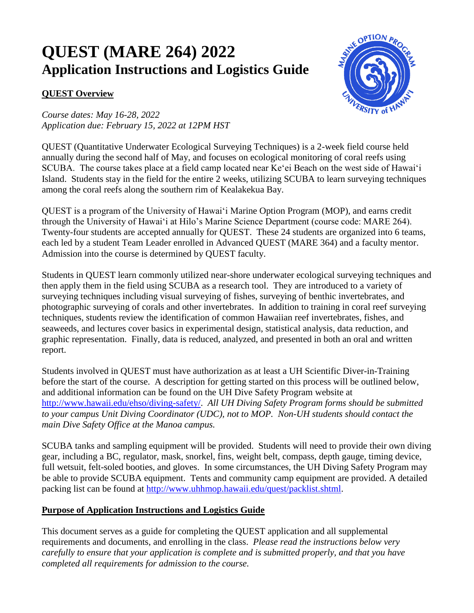# **QUEST (MARE 264) 2022 Application Instructions and Logistics Guide**

## **QUEST Overview**

*Course dates: May 16-28, 2022 Application due: February 15, 2022 at 12PM HST*



QUEST (Quantitative Underwater Ecological Surveying Techniques) is a 2-week field course held annually during the second half of May, and focuses on ecological monitoring of coral reefs using SCUBA. The course takes place at a field camp located near Ke'ei Beach on the west side of Hawaiʻi Island. Students stay in the field for the entire 2 weeks, utilizing SCUBA to learn surveying techniques among the coral reefs along the southern rim of Kealakekua Bay.

QUEST is a program of the University of Hawaiʻi Marine Option Program (MOP), and earns credit through the University of Hawaiʻi at Hilo's Marine Science Department (course code: MARE 264). Twenty-four students are accepted annually for QUEST. These 24 students are organized into 6 teams, each led by a student Team Leader enrolled in Advanced QUEST (MARE 364) and a faculty mentor. Admission into the course is determined by QUEST faculty.

Students in QUEST learn commonly utilized near-shore underwater ecological surveying techniques and then apply them in the field using SCUBA as a research tool. They are introduced to a variety of surveying techniques including visual surveying of fishes, surveying of benthic invertebrates, and photographic surveying of corals and other invertebrates. In addition to training in coral reef surveying techniques, students review the identification of common Hawaiian reef invertebrates, fishes, and seaweeds, and lectures cover basics in experimental design, statistical analysis, data reduction, and graphic representation. Finally, data is reduced, analyzed, and presented in both an oral and written report.

Students involved in QUEST must have authorization as at least a UH Scientific Diver-in-Training before the start of the course. A description for getting started on this process will be outlined below, and additional information can be found on the UH Dive Safety Program website at [http://www.hawaii.edu/ehso/diving-safety/.](http://www.hawaii.edu/ehso/diving-safety/) *All UH Diving Safety Program forms should be submitted to your campus Unit Diving Coordinator (UDC), not to MOP. Non-UH students should contact the main Dive Safety Office at the Manoa campus.*

SCUBA tanks and sampling equipment will be provided. Students will need to provide their own diving gear, including a BC, regulator, mask, snorkel, fins, weight belt, compass, depth gauge, timing device, full wetsuit, felt-soled booties, and gloves. In some circumstances, the UH Diving Safety Program may be able to provide SCUBA equipment. Tents and community camp equipment are provided. A detailed packing list can be found at [http://www.uhhmop.hawaii.edu/quest/packlist.shtml.](http://www.uhhmop.hawaii.edu/quest/packlist.shtml)

### **Purpose of Application Instructions and Logistics Guide**

This document serves as a guide for completing the QUEST application and all supplemental requirements and documents, and enrolling in the class. *Please read the instructions below very carefully to ensure that your application is complete and is submitted properly, and that you have completed all requirements for admission to the course.*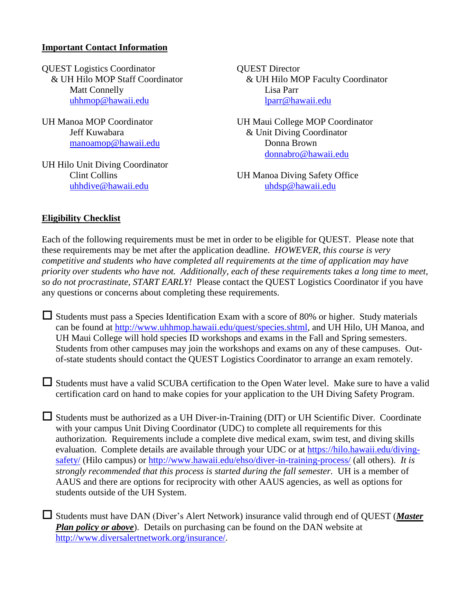#### **Important Contact Information**

QUEST Logistics Coordinator QUEST Director Matt Connelly Lisa Parr [uhhmop@hawaii.edu](mailto:uhhmop@hawaii.edu) [lparr@hawaii.edu](mailto:lparr@hawaii.edu)

[manoamop@hawaii.edu](mailto:manoamop@hawaii.edu) Donna Brown

UH Hilo Unit Diving Coordinator [uhhdive@hawaii.edu](mailto:uhhdive@hawaii.edu) [uhdsp@hawaii.edu](mailto:uhdsp@hawaii.edu)

& UH Hilo MOP Staff Coordinator & UH Hilo MOP Faculty Coordinator

UH Manoa MOP Coordinator UH Maui College MOP Coordinator Jeff Kuwabara & Unit Diving Coordinator [donnabro@hawaii.edu](mailto:donnabro@hawaii.edu)

Clint Collins UH Manoa Diving Safety Office

#### **Eligibility Checklist**

Each of the following requirements must be met in order to be eligible for QUEST. Please note that these requirements may be met after the application deadline. *HOWEVER, this course is very competitive and students who have completed all requirements at the time of application may have priority over students who have not. Additionally, each of these requirements takes a long time to meet, so do not procrastinate, START EARLY!* Please contact the QUEST Logistics Coordinator if you have any questions or concerns about completing these requirements.

 $\Box$  Students must pass a Species Identification Exam with a score of 80% or higher. Study materials can be found at [http://www.uhhmop.hawaii.edu/quest/species.shtml,](http://www.uhhmop.hawaii.edu/quest/species.shtml) and UH Hilo, UH Manoa, and UH Maui College will hold species ID workshops and exams in the Fall and Spring semesters. Students from other campuses may join the workshops and exams on any of these campuses. Outof-state students should contact the QUEST Logistics Coordinator to arrange an exam remotely.

 $\Box$  Students must have a valid SCUBA certification to the Open Water level. Make sure to have a valid certification card on hand to make copies for your application to the UH Diving Safety Program.

 $\Box$  Students must be authorized as a UH Diver-in-Training (DIT) or UH Scientific Diver. Coordinate with your campus Unit Diving Coordinator (UDC) to complete all requirements for this authorization. Requirements include a complete dive medical exam, swim test, and diving skills evaluation. Complete details are available through your UDC or at [https://hilo.hawaii.edu/diving](https://hilo.hawaii.edu/diving-safety/)[safety/](https://hilo.hawaii.edu/diving-safety/) (Hilo campus) or<http://www.hawaii.edu/ehso/diver-in-training-process/> (all others). *It is strongly recommended that this process is started during the fall semester.* UH is a member of AAUS and there are options for reciprocity with other AAUS agencies, as well as options for students outside of the UH System.

 Students must have DAN (Diver's Alert Network) insurance valid through end of QUEST (*Master Plan policy or above*). Details on purchasing can be found on the DAN website at [http://www.diversalertnetwork.org/insurance/.](http://www.diversalertnetwork.org/insurance/)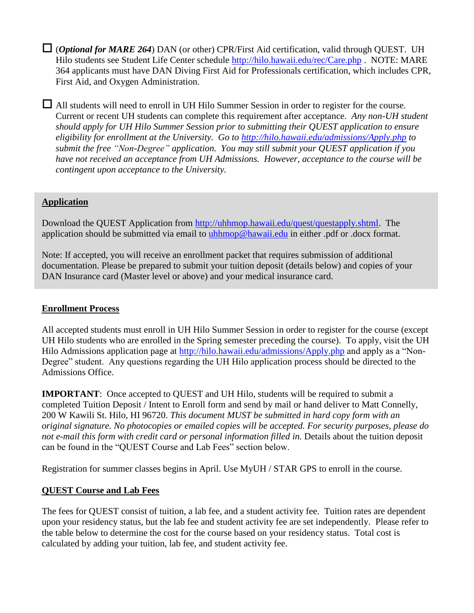$\Box$  (*Optional for MARE 264*) DAN (or other) CPR/First Aid certification, valid through QUEST. UH Hilo students see Student Life Center schedule<http://hilo.hawaii.edu/rec/Care.php> . NOTE: MARE 364 applicants must have DAN Diving First Aid for Professionals certification, which includes CPR, First Aid, and Oxygen Administration.

 All students will need to enroll in UH Hilo Summer Session in order to register for the course. Current or recent UH students can complete this requirement after acceptance. *Any non-UH student should apply for UH Hilo Summer Session prior to submitting their QUEST application to ensure eligibility for enrollment at the University. Go to<http://hilo.hawaii.edu/admissions/Apply.php> to submit the free "Non-Degree" application. You may still submit your QUEST application if you have not received an acceptance from UH Admissions. However, acceptance to the course will be contingent upon acceptance to the University.*

## **Application**

Download the QUEST Application from [http://uhhmop.hawaii.edu/quest/questapply.shtml.](http://uhhmop.hawaii.edu/quest/questapply.shtml) The application should be submitted via email to [uhhmop@hawaii.edu](mailto:uhhmop@hawaii.edu) in either .pdf or .docx format.

Note: If accepted, you will receive an enrollment packet that requires submission of additional documentation. Please be prepared to submit your tuition deposit (details below) and copies of your DAN Insurance card (Master level or above) and your medical insurance card.

### **Enrollment Process**

All accepted students must enroll in UH Hilo Summer Session in order to register for the course (except UH Hilo students who are enrolled in the Spring semester preceding the course). To apply, visit the UH Hilo Admissions application page at <http://hilo.hawaii.edu/admissions/Apply.php> and apply as a "Non-Degree" student. Any questions regarding the UH Hilo application process should be directed to the Admissions Office.

**IMPORTANT:** Once accepted to QUEST and UH Hilo, students will be required to submit a completed Tuition Deposit / Intent to Enroll form and send by mail or hand deliver to Matt Connelly, 200 W Kawili St. Hilo, HI 96720. *This document MUST be submitted in hard copy form with an original signature. No photocopies or emailed copies will be accepted. For security purposes, please do not e-mail this form with credit card or personal information filled in.* Details about the tuition deposit can be found in the "QUEST Course and Lab Fees" section below.

Registration for summer classes begins in April. Use MyUH / STAR GPS to enroll in the course.

### **QUEST Course and Lab Fees**

The fees for QUEST consist of tuition, a lab fee, and a student activity fee. Tuition rates are dependent upon your residency status, but the lab fee and student activity fee are set independently. Please refer to the table below to determine the cost for the course based on your residency status. Total cost is calculated by adding your tuition, lab fee, and student activity fee.